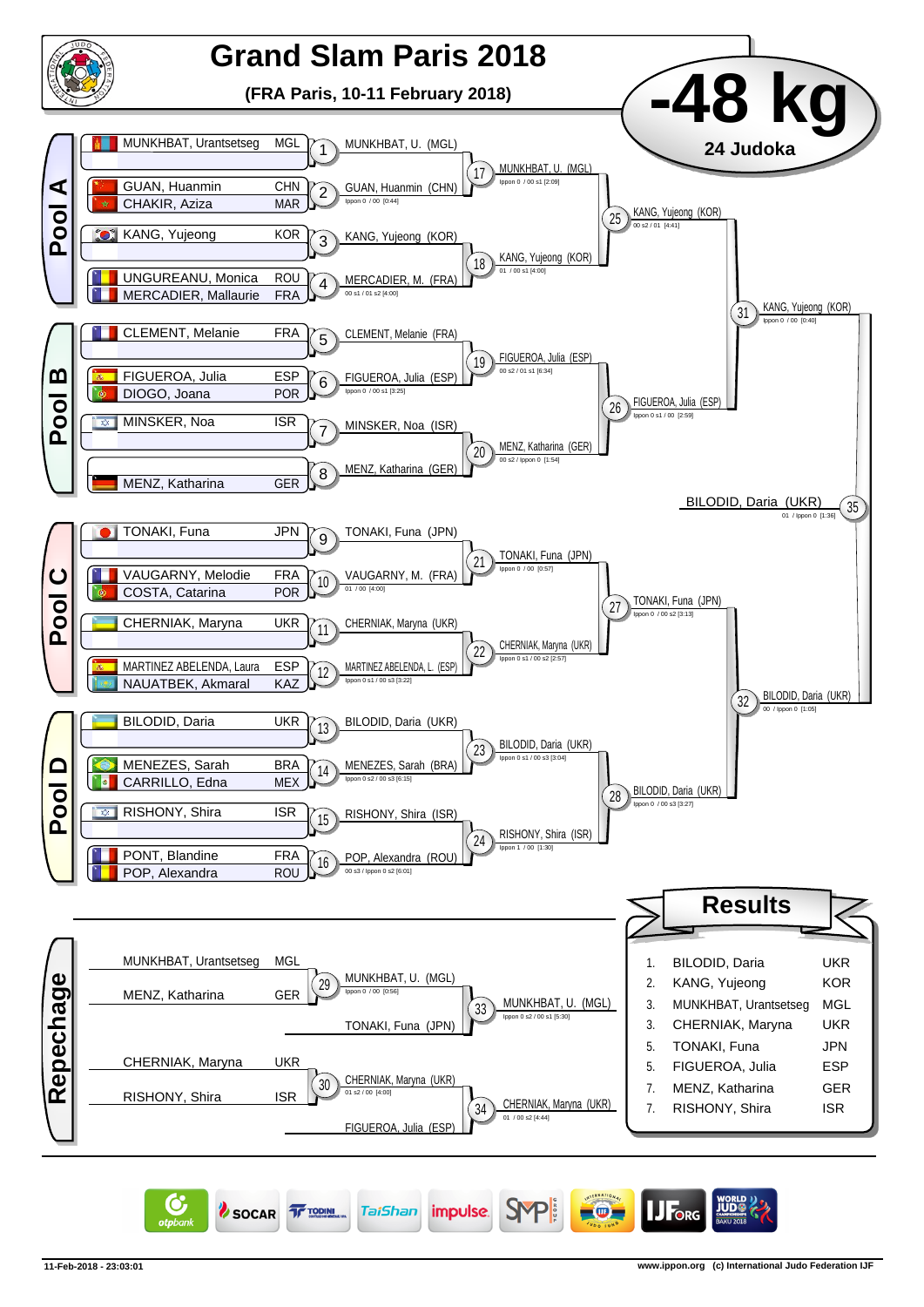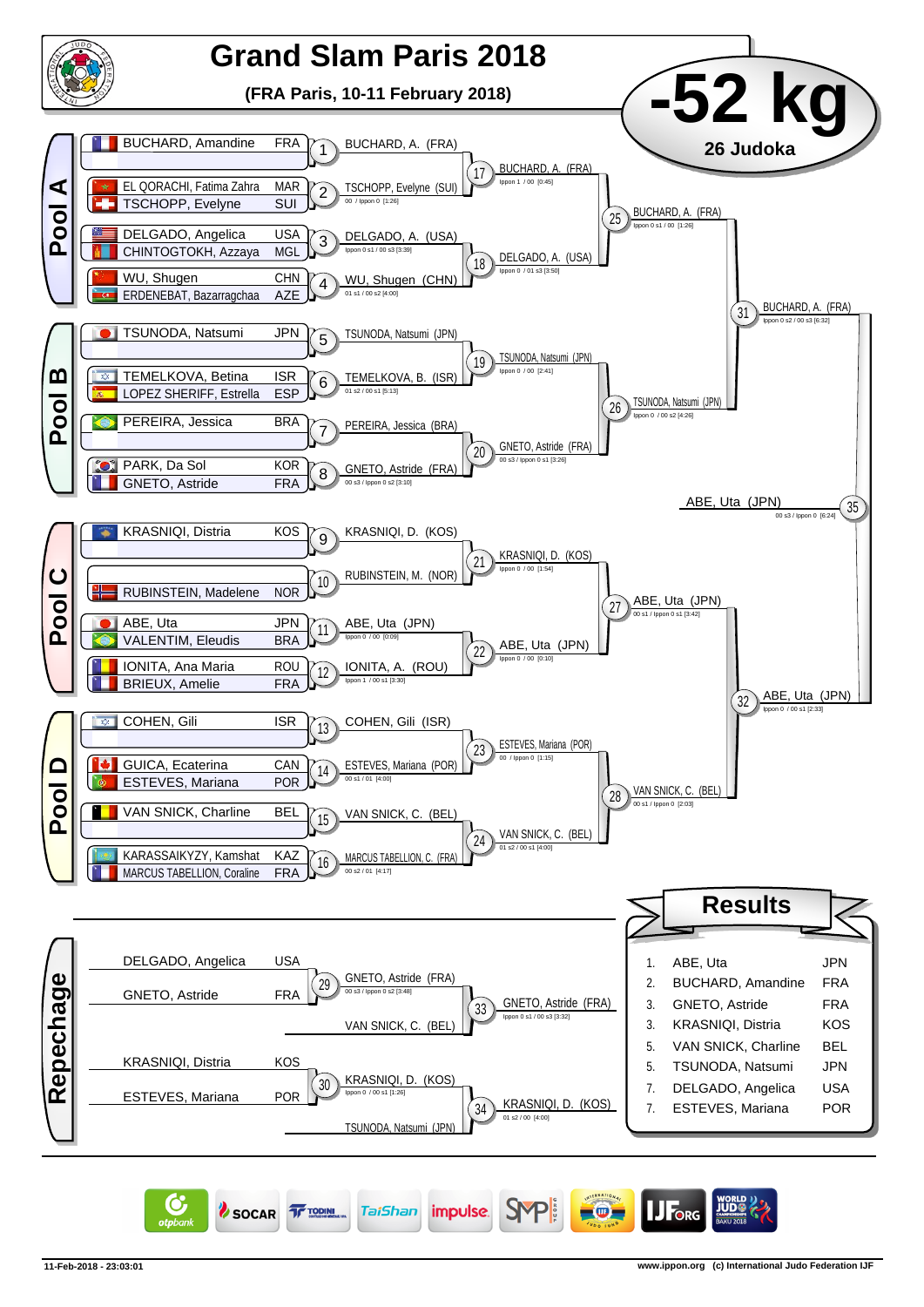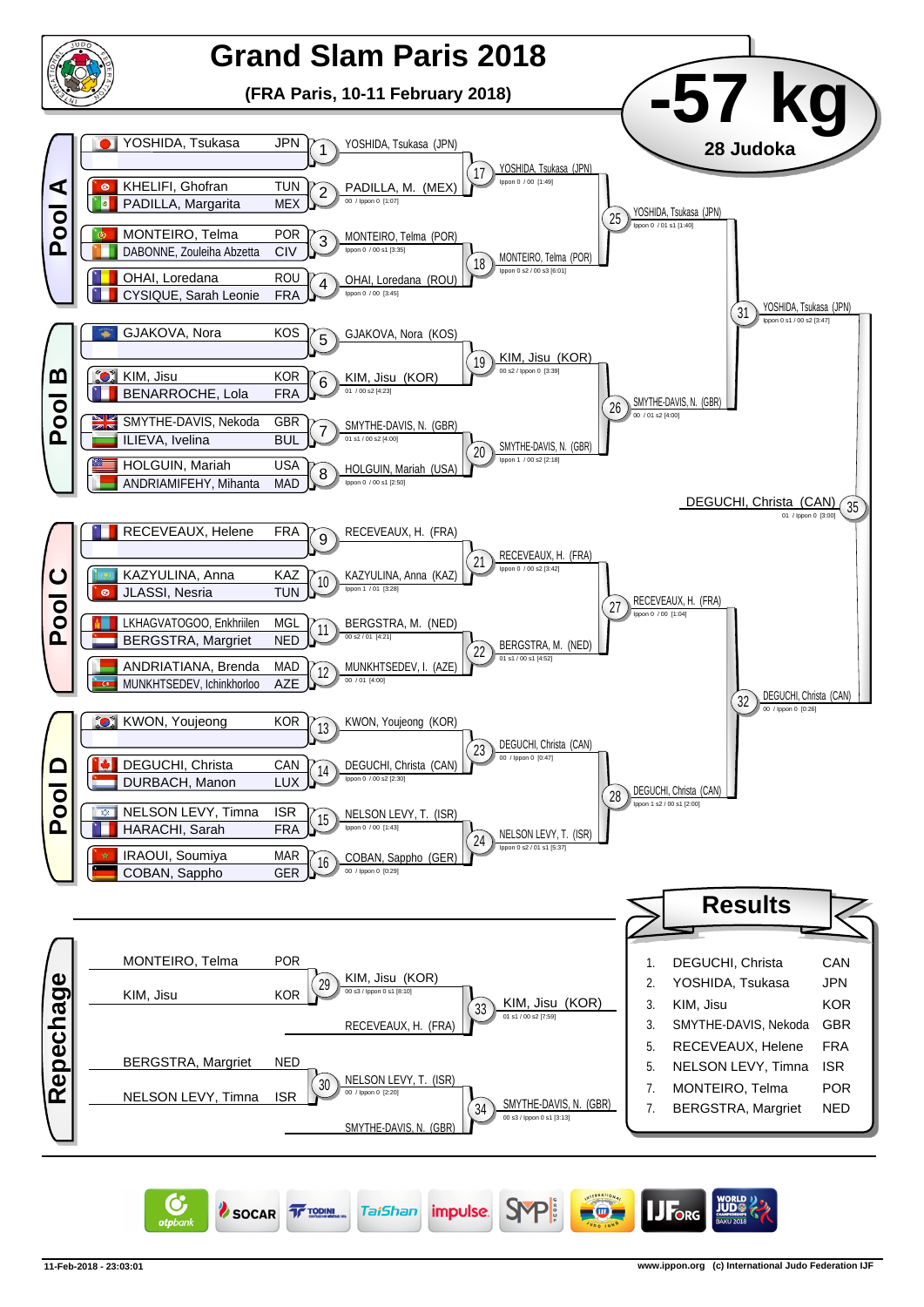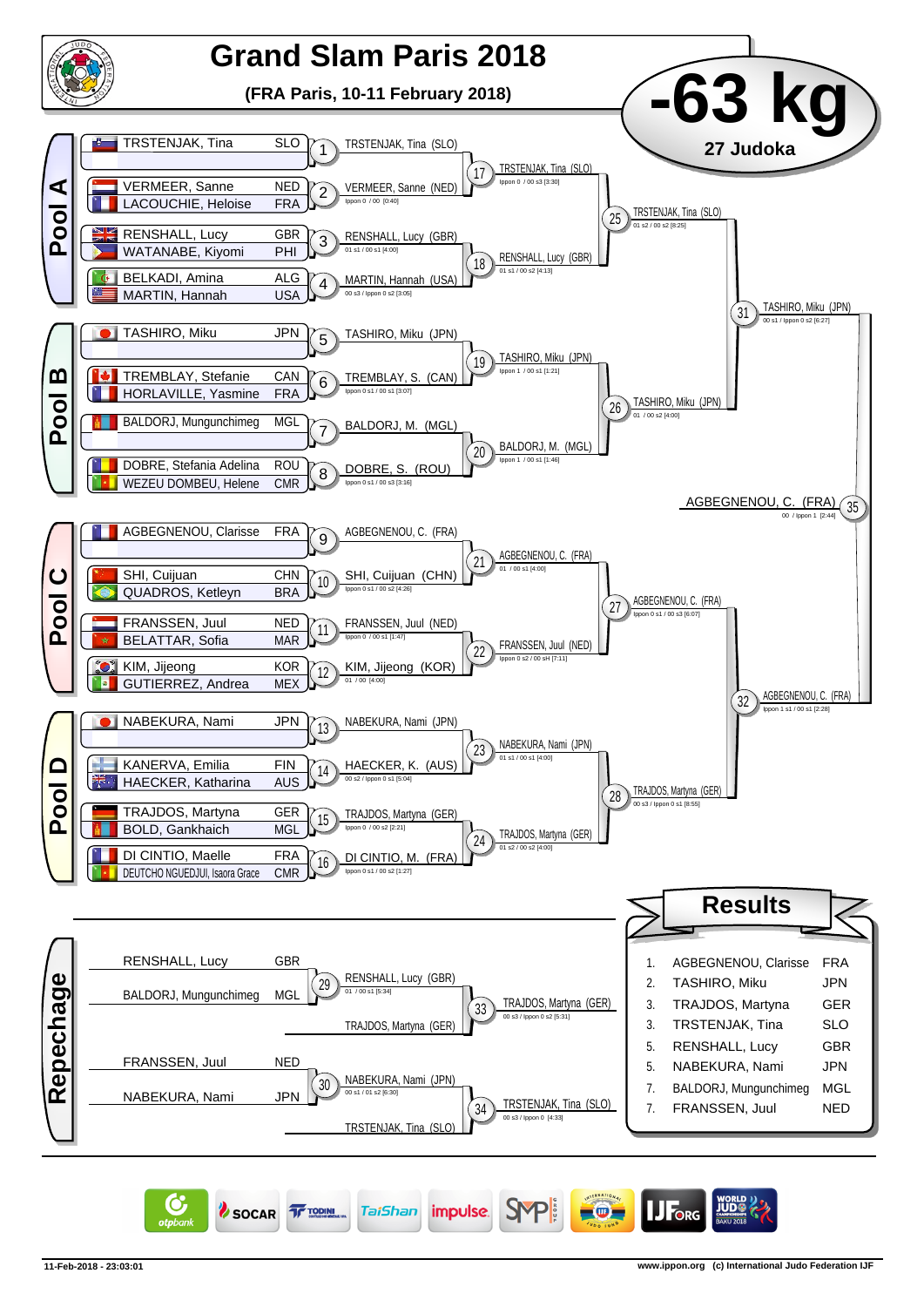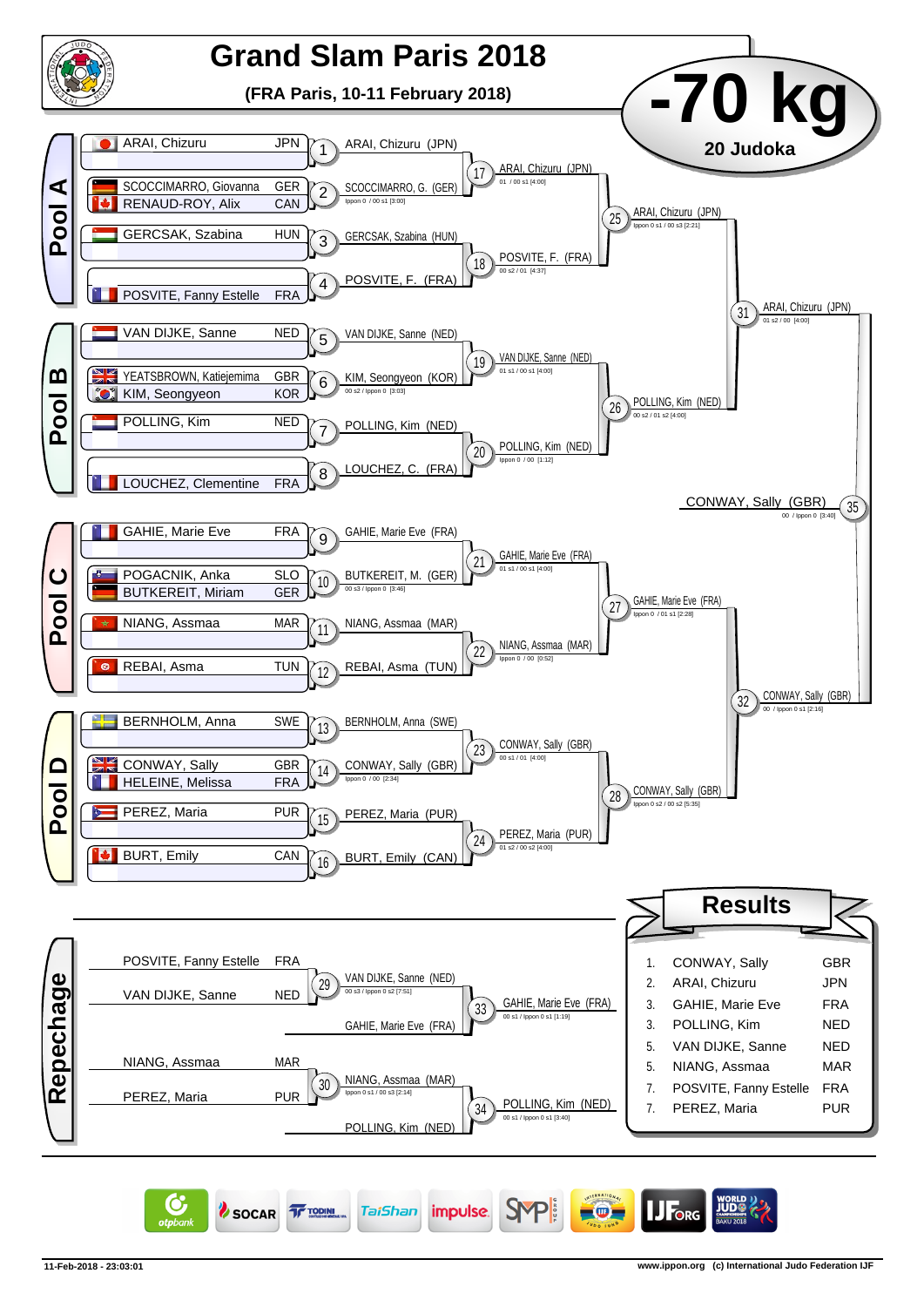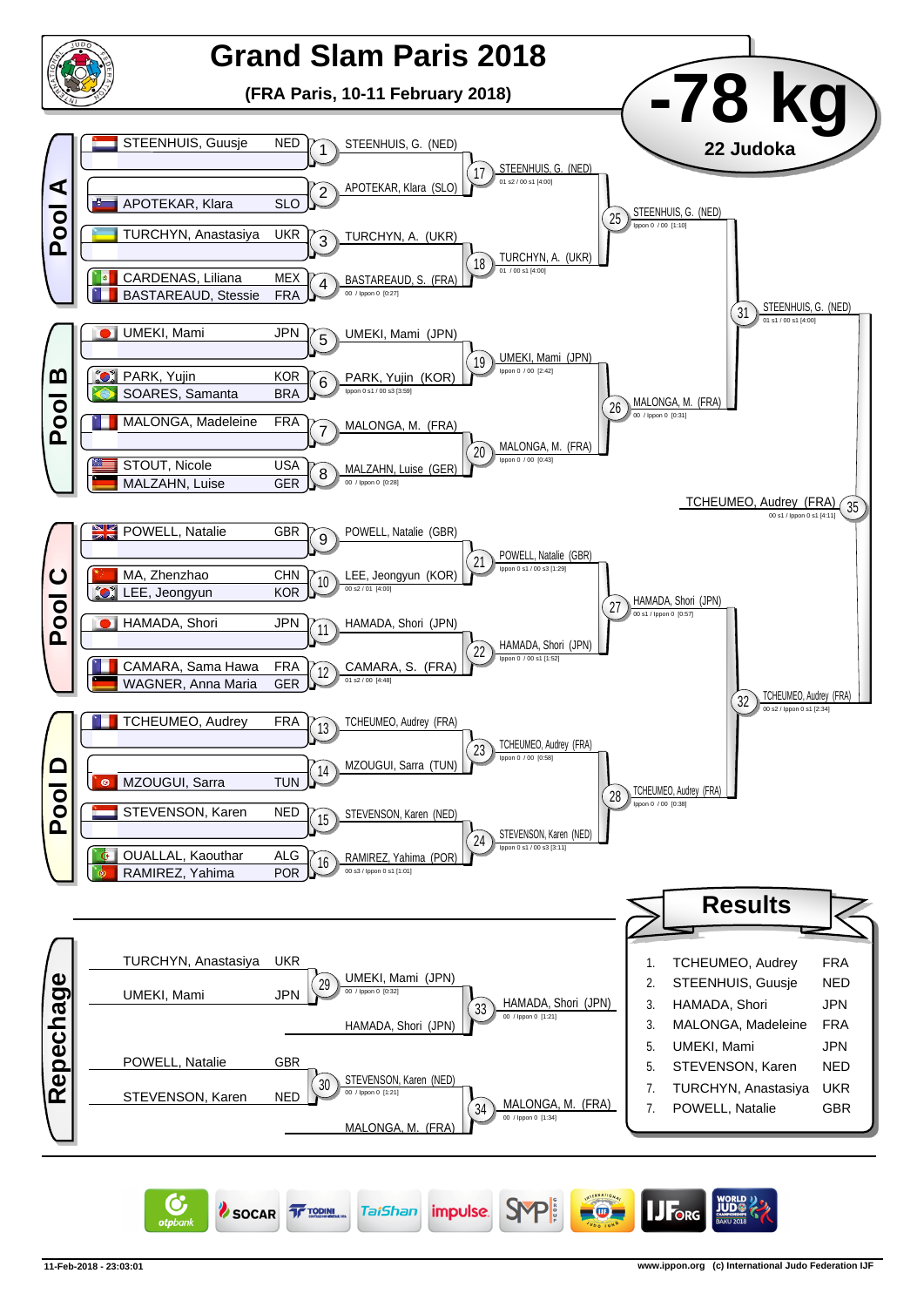